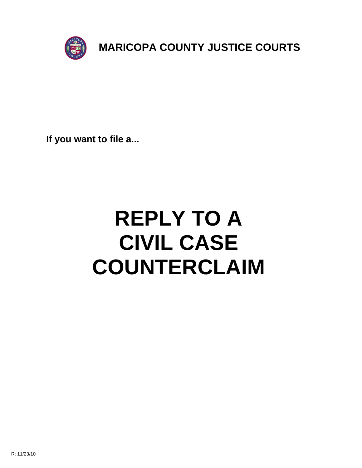

**If you want to file a...**

# **REPLY TO A CIVIL CASE COUNTERCLAIM**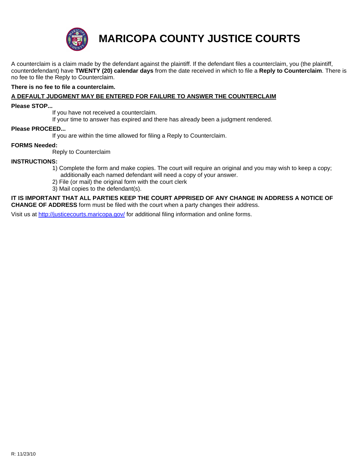

**MARICOPA COUNTY JUSTICE COURTS**

A counterclaim is a claim made by the defendant against the plaintiff. If the defendant files a counterclaim, you (the plaintiff, counterdefendant) have **TWENTY (20) calendar days** from the date received in which to file a **Reply to Counterclaim**. There is no fee to file the Reply to Counterclaim.

# **There is no fee to file a counterclaim.**

# **A DEFAULT JUDGMENT MAY BE ENTERED FOR FAILURE TO ANSWER THE COUNTERCLAIM**

#### **Please STOP...**

If you have not received a counterclaim.

If your time to answer has expired and there has already been a judgment rendered.

#### **Please PROCEED...**

If you are within the time allowed for filing a Reply to Counterclaim.

## **FORMS Needed:**

Reply to Counterclaim

## **INSTRUCTIONS:**

- [1\) Complete the form and ma](http://justicecourts.maricopa.gov/)ke copies. The court will require an original and you may wish to keep a copy; additionally each named defendant will need a copy of your answer.
- 2) File (or mail) the original form with the court clerk
- 3) Mail copies to the defendant(s).

**IT IS IMPORTANT THAT ALL PARTIES KEEP THE COURT APPRISED OF ANY CHANGE IN ADDRESS A NOTICE OF CHANGE OF ADDRESS** form must be filed with the court when a party changes their address.

Visit us at http://justicecourts.maricopa.gov/ for additional filing information and online forms.